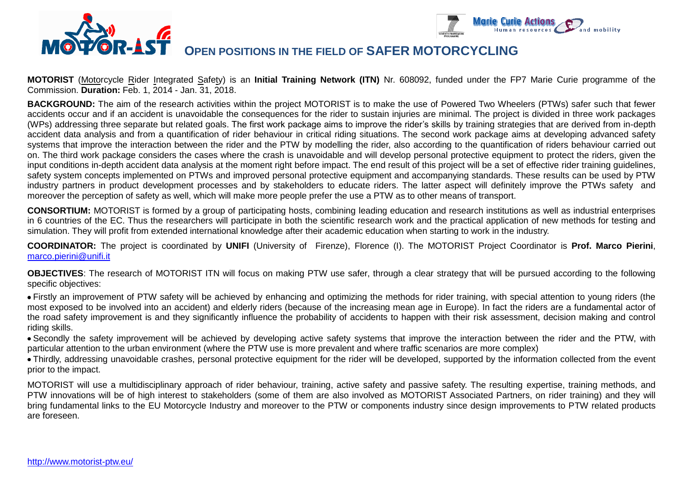



## **OPEN POSITIONS IN THE FIELD OF SAFER MOTORCYCLING**

**MOTORIST** (Motorcycle Rider Integrated Safety) is an **Initial Training Network (ITN)** Nr. 608092, funded under the FP7 Marie Curie programme of the Commission. **Duration:** Feb. 1, 2014 - Jan. 31, 2018.

**BACKGROUND:** The aim of the research activities within the project MOTORIST is to make the use of Powered Two Wheelers (PTWs) safer such that fewer accidents occur and if an accident is unavoidable the consequences for the rider to sustain injuries are minimal. The project is divided in three work packages (WPs) addressing three separate but related goals. The first work package aims to improve the rider's skills by training strategies that are derived from in-depth accident data analysis and from a quantification of rider behaviour in critical riding situations. The second work package aims at developing advanced safety systems that improve the interaction between the rider and the PTW by modelling the rider, also according to the quantification of riders behaviour carried out on. The third work package considers the cases where the crash is unavoidable and will develop personal protective equipment to protect the riders, given the input conditions in-depth accident data analysis at the moment right before impact. The end result of this project will be a set of effective rider training guidelines, safety system concepts implemented on PTWs and improved personal protective equipment and accompanying standards. These results can be used by PTW industry partners in product development processes and by stakeholders to educate riders. The latter aspect will definitely improve the PTWs safety and moreover the perception of safety as well, which will make more people prefer the use a PTW as to other means of transport.

**CONSORTIUM:** MOTORIST is formed by a group of participating hosts, combining leading education and research institutions as well as industrial enterprises in 6 countries of the EC. Thus the researchers will participate in both the scientific research work and the practical application of new methods for testing and simulation. They will profit from extended international knowledge after their academic education when starting to work in the industry.

**COORDINATOR:** The project is coordinated by **UNIFI** (University of Firenze), Florence (I). The MOTORIST Project Coordinator is **Prof. Marco Pierini**, [marco.pierini@unifi.it](mailto:marco.pierini@unifi.it)

**OBJECTIVES**: The research of MOTORIST ITN will focus on making PTW use safer, through a clear strategy that will be pursued according to the following specific objectives:

Firstly an improvement of PTW safety will be achieved by enhancing and optimizing the methods for rider training, with special attention to young riders (the most exposed to be involved into an accident) and elderly riders (because of the increasing mean age in Europe). In fact the riders are a fundamental actor of the road safety improvement is and they significantly influence the probability of accidents to happen with their risk assessment, decision making and control riding skills.

Secondly the safety improvement will be achieved by developing active safety systems that improve the interaction between the rider and the PTW, with particular attention to the urban environment (where the PTW use is more prevalent and where traffic scenarios are more complex)

Thirdly, addressing unavoidable crashes, personal protective equipment for the rider will be developed, supported by the information collected from the event prior to the impact.

MOTORIST will use a multidisciplinary approach of rider behaviour, training, active safety and passive safety. The resulting expertise, training methods, and PTW innovations will be of high interest to stakeholders (some of them are also involved as MOTORIST Associated Partners, on rider training) and they will bring fundamental links to the EU Motorcycle Industry and moreover to the PTW or components industry since design improvements to PTW related products are foreseen.